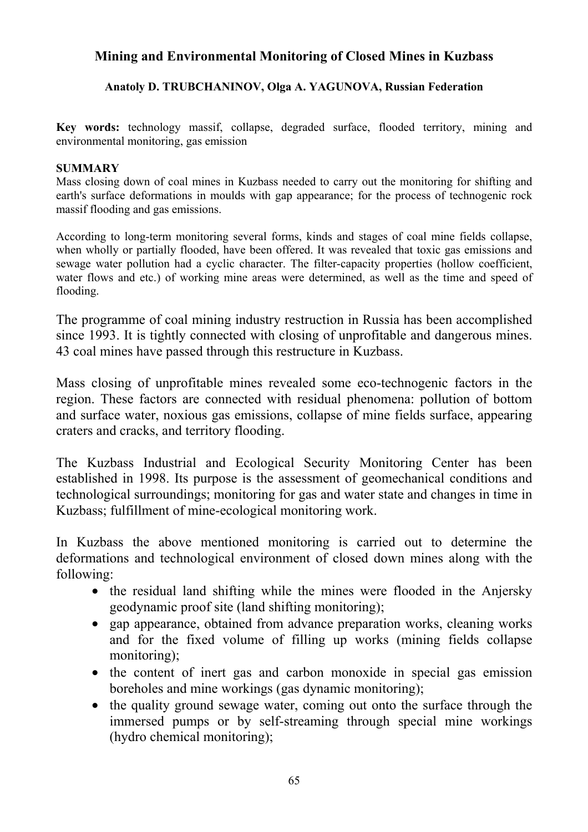# **Mining and Environmental Monitoring of Closed Mines in Kuzbass**

### **Anatoly D. TRUBCHANINOV, Olga A. YAGUNOVA, Russian Federation**

**Key words:** technology massif, collapse, degraded surface, flooded territory, mining and environmental monitoring, gas emission

#### **SUMMARY**

Mass closing down of coal mines in Kuzbass needed to carry out the monitoring for shifting and earth's surface deformations in moulds with gap appearance; for the process of technogenic rock massif flooding and gas emissions.

According to long-term monitoring several forms, kinds and stages of coal mine fields collapse, when wholly or partially flooded, have been offered. It was revealed that toxic gas emissions and sewage water pollution had a cyclic character. The filter-capacity properties (hollow coefficient, water flows and etc.) of working mine areas were determined, as well as the time and speed of flooding.

The programme of coal mining industry restruction in Russia has been accomplished since 1993. It is tightly connected with closing of unprofitable and dangerous mines. 43 coal mines have passed through this restructure in Kuzbass.

Mass closing of unprofitable mines revealed some eco-technogenic factors in the region. These factors are connected with residual phenomena: pollution of bottom and surface water, noxious gas emissions, collapse of mine fields surface, appearing craters and cracks, and territory flooding.

The Kuzbass Industrial and Ecological Security Monitoring Center has been established in 1998. Its purpose is the assessment of geomechanical conditions and technological surroundings; monitoring for gas and water state and changes in time in Kuzbass; fulfillment of mine-ecological monitoring work.

In Kuzbass the above mentioned monitoring is carried out to determine the deformations and technological environment of closed down mines along with the following:

- the residual land shifting while the mines were flooded in the Anjersky geodynamic proof site (land shifting monitoring);
- gap appearance, obtained from advance preparation works, cleaning works and for the fixed volume of filling up works (mining fields collapse monitoring);
- the content of inert gas and carbon monoxide in special gas emission boreholes and mine workings (gas dynamic monitoring);
- the quality ground sewage water, coming out onto the surface through the immersed pumps or by self-streaming through special mine workings (hydro chemical monitoring);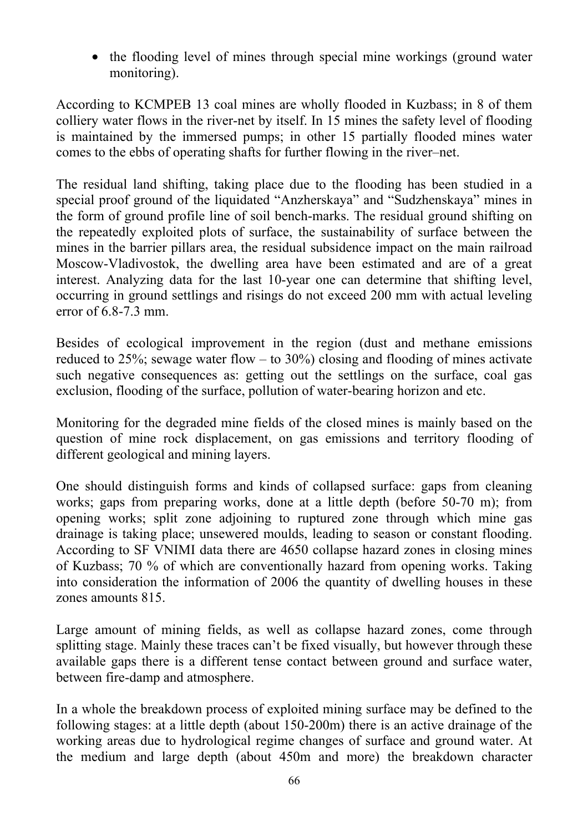• the flooding level of mines through special mine workings (ground water monitoring).

According to KCMPEB 13 coal mines are wholly flooded in Kuzbass; in 8 of them colliery water flows in the river-net by itself. In 15 mines the safety level of flooding is maintained by the immersed pumps; in other 15 partially flooded mines water comes to the ebbs of operating shafts for further flowing in the river–net.

The residual land shifting, taking place due to the flooding has been studied in a special proof ground of the liquidated "Anzherskaya" and "Sudzhenskaya" mines in the form of ground profile line of soil bench-marks. The residual ground shifting on the repeatedly exploited plots of surface, the sustainability of surface between the mines in the barrier pillars area, the residual subsidence impact on the main railroad Moscow-Vladivostok, the dwelling area have been estimated and are of a great interest. Analyzing data for the last 10-year one can determine that shifting level, occurring in ground settlings and risings do not exceed 200 mm with actual leveling error of 6.8-7.3 mm.

Besides of ecological improvement in the region (dust and methane emissions reduced to 25%; sewage water flow – to 30%) closing and flooding of mines activate such negative consequences as: getting out the settlings on the surface, coal gas exclusion, flooding of the surface, pollution of water-bearing horizon and etc.

Monitoring for the degraded mine fields of the closed mines is mainly based on the question of mine rock displacement, on gas emissions and territory flooding of different geological and mining layers.

One should distinguish forms and kinds of collapsed surface: gaps from cleaning works; gaps from preparing works, done at a little depth (before 50-70 m); from opening works; split zone adjoining to ruptured zone through which mine gas drainage is taking place; unsewered moulds, leading to season or constant flooding. According to SF VNIMI data there are 4650 collapse hazard zones in closing mines of Kuzbass; 70 % of which are conventionally hazard from opening works. Taking into consideration the information of 2006 the quantity of dwelling houses in these zones amounts 815.

Large amount of mining fields, as well as collapse hazard zones, come through splitting stage. Mainly these traces can't be fixed visually, but however through these available gaps there is a different tense contact between ground and surface water, between fire-damp and atmosphere.

In a whole the breakdown process of exploited mining surface may be defined to the following stages: at a little depth (about 150-200m) there is an active drainage of the working areas due to hydrological regime changes of surface and ground water. At the medium and large depth (about 450m and more) the breakdown character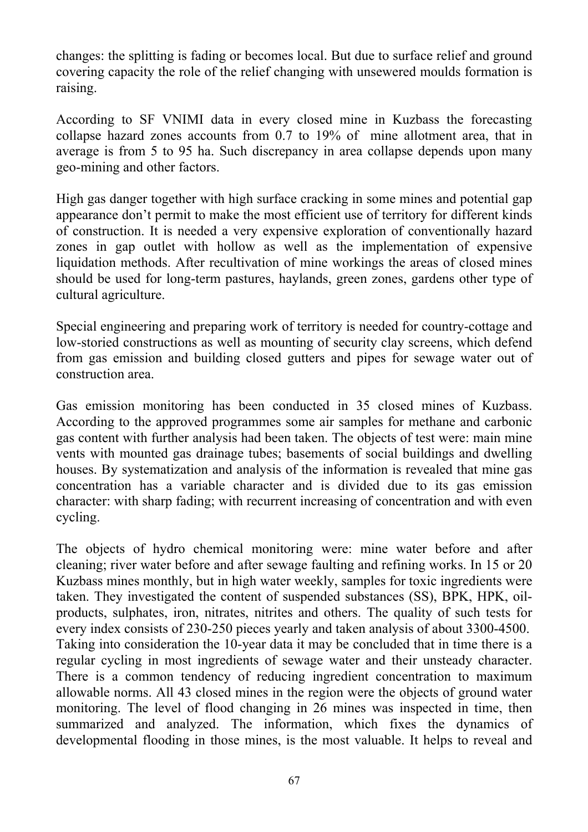changes: the splitting is fading or becomes local. But due to surface relief and ground covering capacity the role of the relief changing with unsewered moulds formation is raising.

According to SF VNIMI data in every closed mine in Kuzbass the forecasting collapse hazard zones accounts from 0.7 to 19% of mine allotment area, that in average is from 5 to 95 ha. Such discrepancy in area collapse depends upon many geo-mining and other factors.

High gas danger together with high surface cracking in some mines and potential gap appearance don't permit to make the most efficient use of territory for different kinds of construction. It is needed a very expensive exploration of conventionally hazard zones in gap outlet with hollow as well as the implementation of expensive liquidation methods. After recultivation of mine workings the areas of closed mines should be used for long-term pastures, haylands, green zones, gardens other type of cultural agriculture.

Special engineering and preparing work of territory is needed for country-cottage and low-storied constructions as well as mounting of security clay screens, which defend from gas emission and building closed gutters and pipes for sewage water out of construction area.

Gas emission monitoring has been conducted in 35 closed mines of Kuzbass. According to the approved programmes some air samples for methane and carbonic gas content with further analysis had been taken. The objects of test were: main mine vents with mounted gas drainage tubes; basements of social buildings and dwelling houses. By systematization and analysis of the information is revealed that mine gas concentration has a variable character and is divided due to its gas emission character: with sharp fading; with recurrent increasing of concentration and with even cycling.

The objects of hydro chemical monitoring were: mine water before and after cleaning; river water before and after sewage faulting and refining works. In 15 or 20 Kuzbass mines monthly, but in high water weekly, samples for toxic ingredients were taken. They investigated the content of suspended substances (SS), BPK, HPK, oilproducts, sulphates, iron, nitrates, nitrites and others. The quality of such tests for every index consists of 230-250 pieces yearly and taken analysis of about 3300-4500. Taking into consideration the 10-year data it may be concluded that in time there is a regular cycling in most ingredients of sewage water and their unsteady character. There is a common tendency of reducing ingredient concentration to maximum allowable norms. All 43 closed mines in the region were the objects of ground water monitoring. The level of flood changing in 26 mines was inspected in time, then summarized and analyzed. The information, which fixes the dynamics of developmental flooding in those mines, is the most valuable. It helps to reveal and